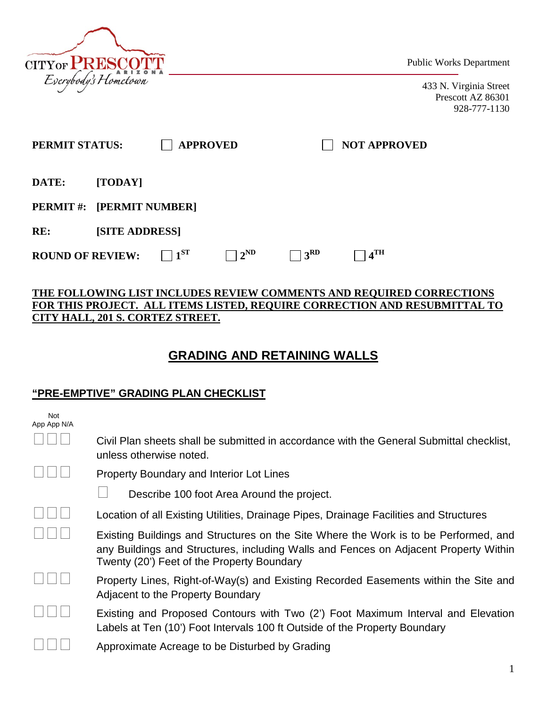

Public Works Department

433 N. Virginia Street Prescott AZ 86301 928-777-1130

| <b>PERMIT STATUS:</b>   |                       | <b>APPROVED</b>    |                             |               | <b>NOT APPROVED</b> |
|-------------------------|-----------------------|--------------------|-----------------------------|---------------|---------------------|
| DATE:                   | [TODAY]               |                    |                             |               |                     |
| <b>PERMIT#:</b>         | [PERMIT NUMBER]       |                    |                             |               |                     |
| RE:                     | <b>[SITE ADDRESS]</b> |                    |                             |               |                     |
| <b>ROUND OF REVIEW:</b> |                       | $\vert 1^{\rm ST}$ | $\sqsupset$ 2 <sup>ND</sup> | $+3^{\rm RD}$ | 4 <sup>TH</sup>     |

#### **THE FOLLOWING LIST INCLUDES REVIEW COMMENTS AND REQUIRED CORRECTIONS FOR THIS PROJECT. ALL ITEMS LISTED, REQUIRE CORRECTION AND RESUBMITTAL TO CITY HALL, 201 S. CORTEZ STREET.**

# **GRADING AND RETAINING WALLS**

## **"PRE-EMPTIVE" GRADING PLAN CHECKLIST**

| <b>Not</b><br>App App N/A |                                                                                                                                                                                                                            |
|---------------------------|----------------------------------------------------------------------------------------------------------------------------------------------------------------------------------------------------------------------------|
|                           | Civil Plan sheets shall be submitted in accordance with the General Submittal checklist,<br>unless otherwise noted.                                                                                                        |
|                           | <b>Property Boundary and Interior Lot Lines</b>                                                                                                                                                                            |
|                           | Describe 100 foot Area Around the project.                                                                                                                                                                                 |
|                           | Location of all Existing Utilities, Drainage Pipes, Drainage Facilities and Structures                                                                                                                                     |
|                           | Existing Buildings and Structures on the Site Where the Work is to be Performed, and<br>any Buildings and Structures, including Walls and Fences on Adjacent Property Within<br>Twenty (20') Feet of the Property Boundary |
|                           | Property Lines, Right-of-Way(s) and Existing Recorded Easements within the Site and<br>Adjacent to the Property Boundary                                                                                                   |
|                           | Existing and Proposed Contours with Two (2') Foot Maximum Interval and Elevation<br>Labels at Ten (10') Foot Intervals 100 ft Outside of the Property Boundary                                                             |
|                           | Approximate Acreage to be Disturbed by Grading                                                                                                                                                                             |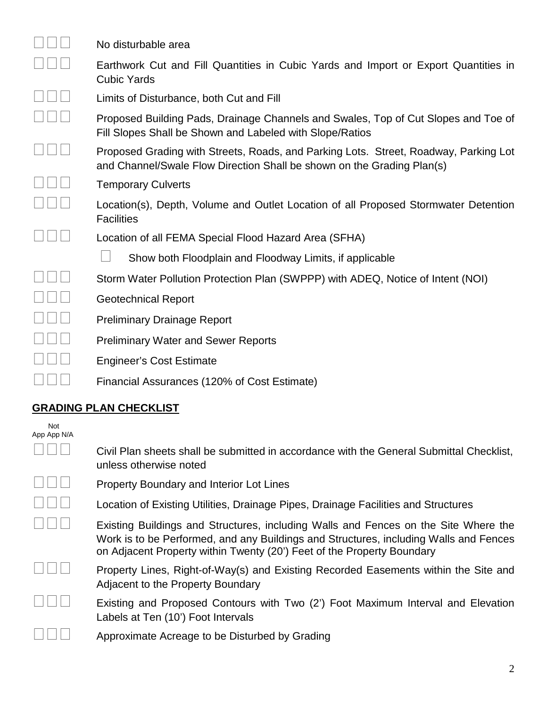| No disturbable area                                                                                                                                            |
|----------------------------------------------------------------------------------------------------------------------------------------------------------------|
| Earthwork Cut and Fill Quantities in Cubic Yards and Import or Export Quantities in<br><b>Cubic Yards</b>                                                      |
| Limits of Disturbance, both Cut and Fill                                                                                                                       |
| Proposed Building Pads, Drainage Channels and Swales, Top of Cut Slopes and Toe of<br>Fill Slopes Shall be Shown and Labeled with Slope/Ratios                 |
| Proposed Grading with Streets, Roads, and Parking Lots. Street, Roadway, Parking Lot<br>and Channel/Swale Flow Direction Shall be shown on the Grading Plan(s) |
| <b>Temporary Culverts</b>                                                                                                                                      |
| Location(s), Depth, Volume and Outlet Location of all Proposed Stormwater Detention<br><b>Facilities</b>                                                       |
| Location of all FEMA Special Flood Hazard Area (SFHA)                                                                                                          |
| Show both Floodplain and Floodway Limits, if applicable                                                                                                        |
| Storm Water Pollution Protection Plan (SWPPP) with ADEQ, Notice of Intent (NOI)                                                                                |
| <b>Geotechnical Report</b>                                                                                                                                     |
| <b>Preliminary Drainage Report</b>                                                                                                                             |
| <b>Preliminary Water and Sewer Reports</b>                                                                                                                     |
| <b>Engineer's Cost Estimate</b>                                                                                                                                |
| Financial Assurances (120% of Cost Estimate)                                                                                                                   |
| GRADING PLAN CHECKLIST                                                                                                                                         |

### **GRADING PLAN CHECKLIST**

| <b>Not</b><br>App App N/A |                                                                                                                                                                                                                                                        |
|---------------------------|--------------------------------------------------------------------------------------------------------------------------------------------------------------------------------------------------------------------------------------------------------|
|                           | Civil Plan sheets shall be submitted in accordance with the General Submittal Checklist,<br>unless otherwise noted                                                                                                                                     |
|                           | <b>Property Boundary and Interior Lot Lines</b>                                                                                                                                                                                                        |
|                           | Location of Existing Utilities, Drainage Pipes, Drainage Facilities and Structures                                                                                                                                                                     |
|                           | Existing Buildings and Structures, including Walls and Fences on the Site Where the<br>Work is to be Performed, and any Buildings and Structures, including Walls and Fences<br>on Adjacent Property within Twenty (20') Feet of the Property Boundary |
|                           | Property Lines, Right-of-Way(s) and Existing Recorded Easements within the Site and<br>Adjacent to the Property Boundary                                                                                                                               |
|                           | Existing and Proposed Contours with Two (2') Foot Maximum Interval and Elevation<br>Labels at Ten (10') Foot Intervals                                                                                                                                 |
|                           | Approximate Acreage to be Disturbed by Grading                                                                                                                                                                                                         |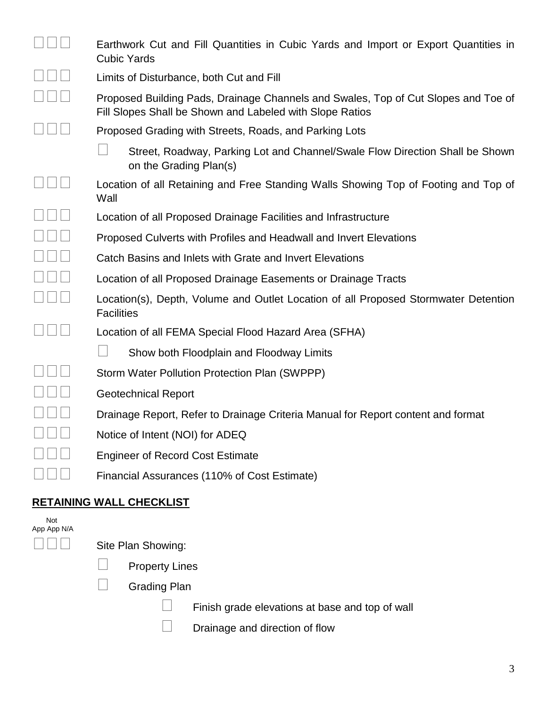|                    | Earthwork Cut and Fill Quantities in Cubic Yards and Import or Export Quantities in<br><b>Cubic Yards</b>                                      |
|--------------------|------------------------------------------------------------------------------------------------------------------------------------------------|
|                    | Limits of Disturbance, both Cut and Fill                                                                                                       |
|                    | Proposed Building Pads, Drainage Channels and Swales, Top of Cut Slopes and Toe of<br>Fill Slopes Shall be Shown and Labeled with Slope Ratios |
|                    | Proposed Grading with Streets, Roads, and Parking Lots                                                                                         |
|                    | Street, Roadway, Parking Lot and Channel/Swale Flow Direction Shall be Shown<br>on the Grading Plan(s)                                         |
|                    | Location of all Retaining and Free Standing Walls Showing Top of Footing and Top of<br>Wall                                                    |
|                    | Location of all Proposed Drainage Facilities and Infrastructure                                                                                |
|                    | Proposed Culverts with Profiles and Headwall and Invert Elevations                                                                             |
|                    | Catch Basins and Inlets with Grate and Invert Elevations                                                                                       |
|                    | Location of all Proposed Drainage Easements or Drainage Tracts                                                                                 |
|                    | Location(s), Depth, Volume and Outlet Location of all Proposed Stormwater Detention<br><b>Facilities</b>                                       |
|                    | Location of all FEMA Special Flood Hazard Area (SFHA)                                                                                          |
|                    | Show both Floodplain and Floodway Limits                                                                                                       |
|                    | Storm Water Pollution Protection Plan (SWPPP)                                                                                                  |
|                    | <b>Geotechnical Report</b>                                                                                                                     |
|                    | Drainage Report, Refer to Drainage Criteria Manual for Report content and format                                                               |
|                    | Notice of Intent (NOI) for ADEQ                                                                                                                |
|                    | <b>Engineer of Record Cost Estimate</b>                                                                                                        |
|                    | Financial Assurances (110% of Cost Estimate)                                                                                                   |
|                    | <b>RETAINING WALL CHECKLIST</b>                                                                                                                |
| Not<br>App App N/A |                                                                                                                                                |

| App App N/A |  |  |
|-------------|--|--|
|             |  |  |

 $\square \square \square$  Site Plan Showing:

- $\Box$  Property Lines
- Grading Plan
	- $\Box$  Finish grade elevations at base and top of wall
	- $\Box$  Drainage and direction of flow